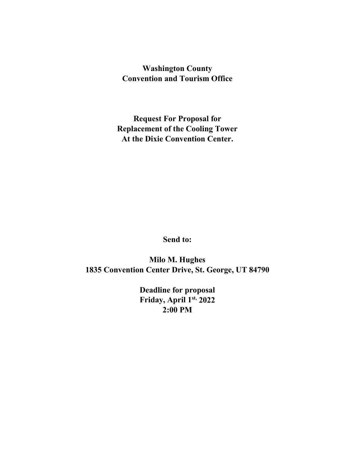# **Washington County Convention and Tourism Office**

**Request For Proposal for Replacement of the Cooling Tower At the Dixie Convention Center.**

**Send to:**

**Milo M. Hughes 1835 Convention Center Drive, St. George, UT 84790**

> **Deadline for proposal Friday, April 1st, 2022 2:00 PM**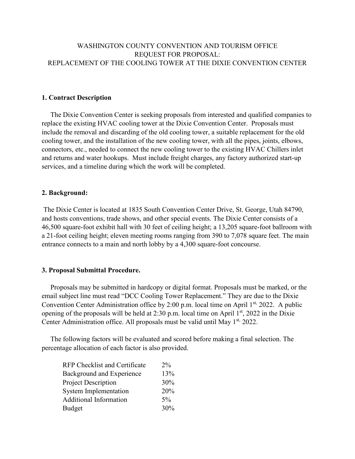# WASHINGTON COUNTY CONVENTION AND TOURISM OFFICE REQUEST FOR PROPOSAL: REPLACEMENT OF THE COOLING TOWER AT THE DIXIE CONVENTION CENTER

#### **1. Contract Description**

 The Dixie Convention Center is seeking proposals from interested and qualified companies to replace the existing HVAC cooling tower at the Dixie Convention Center. Proposals must include the removal and discarding of the old cooling tower, a suitable replacement for the old cooling tower, and the installation of the new cooling tower, with all the pipes, joints, elbows, connectors, etc., needed to connect the new cooling tower to the existing HVAC Chillers inlet and returns and water hookups. Must include freight charges, any factory authorized start-up services, and a timeline during which the work will be completed.

#### **2. Background:**

The Dixie Center is located at 1835 South Convention Center Drive, St. George, Utah 84790, and hosts conventions, trade shows, and other special events. The Dixie Center consists of a 46,500 square-foot exhibit hall with 30 feet of ceiling height; a 13,205 square-foot ballroom with a 21-foot ceiling height; eleven meeting rooms ranging from 390 to 7,078 square feet. The main entrance connects to a main and north lobby by a 4,300 square-foot concourse.

#### **3. Proposal Submittal Procedure.**

 Proposals may be submitted in hardcopy or digital format. Proposals must be marked, or the email subject line must read "DCC Cooling Tower Replacement." They are due to the Dixie Convention Center Administration office by 2:00 p.m. local time on April 1<sup>st,</sup> 2022. A public opening of the proposals will be held at 2:30 p.m. local time on April  $1<sup>st</sup>$ , 2022 in the Dixie Center Administration office. All proposals must be valid until May 1<sup>st,</sup> 2022.

 The following factors will be evaluated and scored before making a final selection. The percentage allocation of each factor is also provided.

| <b>RFP</b> Checklist and Certificate | $2\%$ |
|--------------------------------------|-------|
| Background and Experience            | 13%   |
| <b>Project Description</b>           | 30%   |
| <b>System Implementation</b>         | 20%   |
| <b>Additional Information</b>        | $5\%$ |
| Budget                               | 30%   |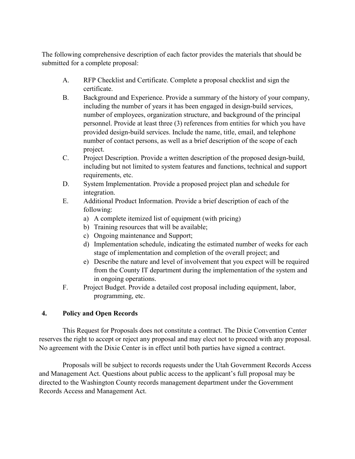The following comprehensive description of each factor provides the materials that should be submitted for a complete proposal:

- A. RFP Checklist and Certificate. Complete a proposal checklist and sign the certificate.
- B. Background and Experience. Provide a summary of the history of your company, including the number of years it has been engaged in design-build services, number of employees, organization structure, and background of the principal personnel. Provide at least three (3) references from entities for which you have provided design-build services. Include the name, title, email, and telephone number of contact persons, as well as a brief description of the scope of each project.
- C. Project Description. Provide a written description of the proposed design-build, including but not limited to system features and functions, technical and support requirements, etc.
- D. System Implementation. Provide a proposed project plan and schedule for integration.
- E. Additional Product Information. Provide a brief description of each of the following:
	- a) A complete itemized list of equipment (with pricing)
	- b) Training resources that will be available;
	- c) Ongoing maintenance and Support;
	- d) Implementation schedule, indicating the estimated number of weeks for each stage of implementation and completion of the overall project; and
	- e) Describe the nature and level of involvement that you expect will be required from the County IT department during the implementation of the system and in ongoing operations.
- F. Project Budget. Provide a detailed cost proposal including equipment, labor, programming, etc.

# **4. Policy and Open Records**

This Request for Proposals does not constitute a contract. The Dixie Convention Center reserves the right to accept or reject any proposal and may elect not to proceed with any proposal. No agreement with the Dixie Center is in effect until both parties have signed a contract.

Proposals will be subject to records requests under the Utah Government Records Access and Management Act. Questions about public access to the applicant's full proposal may be directed to the Washington County records management department under the Government Records Access and Management Act.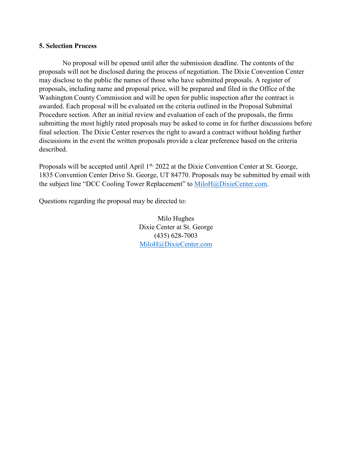#### **5. Selection Process**

No proposal will be opened until after the submission deadline. The contents of the proposals will not be disclosed during the process of negotiation. The Dixie Convention Center may disclose to the public the names of those who have submitted proposals. A register of proposals, including name and proposal price, will be prepared and filed in the Office of the Washington County Commission and will be open for public inspection after the contract is awarded. Each proposal will be evaluated on the criteria outlined in the Proposal Submittal Procedure section. After an initial review and evaluation of each of the proposals, the firms submitting the most highly rated proposals may be asked to come in for further discussions before final selection. The Dixie Center reserves the right to award a contract without holding further discussions in the event the written proposals provide a clear preference based on the criteria described.

Proposals will be accepted until April 1<sup>st,</sup> 2022 at the Dixie Convention Center at St. George, 1835 Convention Center Drive St. George, UT 84770. Proposals may be submitted by email with the subject line "DCC Cooling Tower Replacement" to [MiloH@DixieCenter.com.](mailto:MiloH@DixieCenter.com)

Questions regarding the proposal may be directed to:

Milo Hughes Dixie Center at St. George (435) 628-7003 [MiloH@DixieCenter.com](mailto:MiloH@DixieCenter.com)